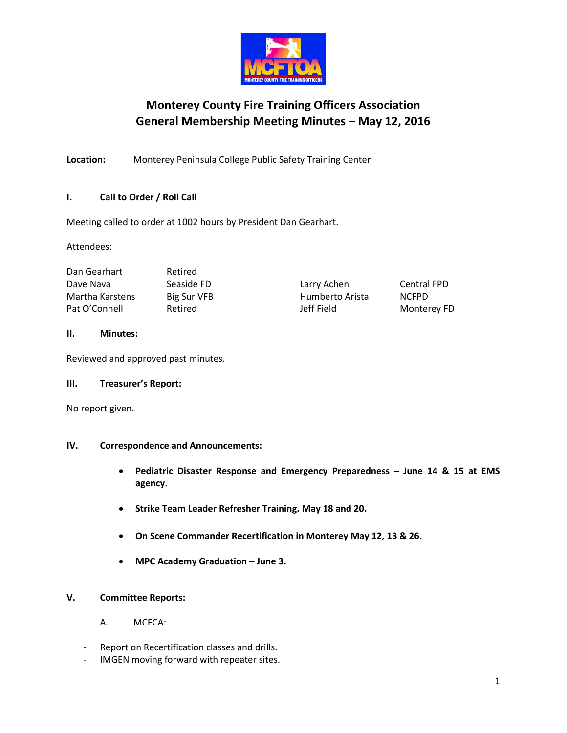

# **Monterey County Fire Training Officers Association General Membership Meeting Minutes – May 12, 2016**

**Location:** Monterey Peninsula College Public Safety Training Center

# **I. Call to Order / Roll Call**

Meeting called to order at 1002 hours by President Dan Gearhart.

Attendees:

| Dan Gearhart    | Retired     |                 |              |
|-----------------|-------------|-----------------|--------------|
| Dave Nava       | Seaside FD  | Larry Achen     | Centra       |
| Martha Karstens | Big Sur VFB | Humberto Arista | <b>NCFPD</b> |
| Pat O'Connell   | Retired     | Jeff Field      | Monte        |

| Larry Achen     |  |
|-----------------|--|
| Humberto Arista |  |
| Jeff Field      |  |

# Central FPD Monterey FD

# **II. Minutes:**

Reviewed and approved past minutes.

# **III. Treasurer's Report:**

No report given.

# **IV. Correspondence and Announcements:**

- **Pediatric Disaster Response and Emergency Preparedness – June 14 & 15 at EMS agency.**
- **Strike Team Leader Refresher Training. May 18 and 20.**
- **On Scene Commander Recertification in Monterey May 12, 13 & 26.**
- **MPC Academy Graduation – June 3.**

# **V. Committee Reports:**

- A. MCFCA:
- Report on Recertification classes and drills.
- IMGEN moving forward with repeater sites.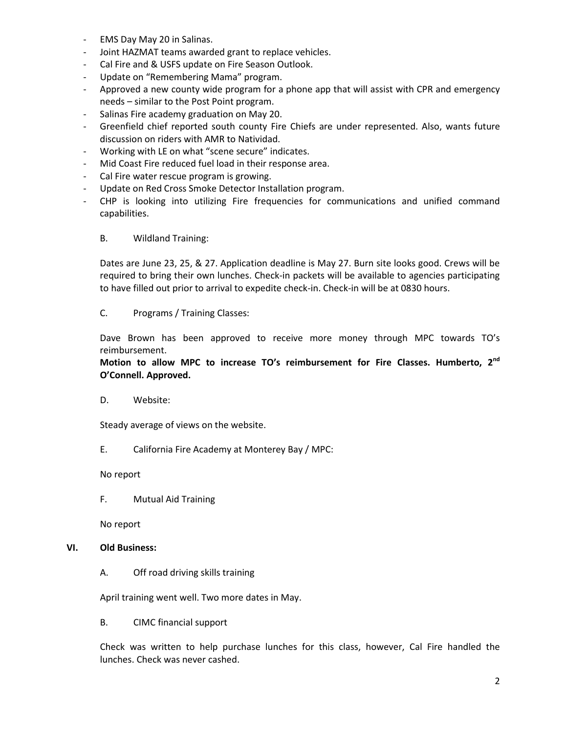- EMS Day May 20 in Salinas.
- Joint HAZMAT teams awarded grant to replace vehicles.
- Cal Fire and & USFS update on Fire Season Outlook.
- Update on "Remembering Mama" program.
- Approved a new county wide program for a phone app that will assist with CPR and emergency needs – similar to the Post Point program.
- Salinas Fire academy graduation on May 20.
- Greenfield chief reported south county Fire Chiefs are under represented. Also, wants future discussion on riders with AMR to Natividad.
- Working with LE on what "scene secure" indicates.
- Mid Coast Fire reduced fuel load in their response area.
- Cal Fire water rescue program is growing.
- Update on Red Cross Smoke Detector Installation program.
- CHP is looking into utilizing Fire frequencies for communications and unified command capabilities.
	- B. Wildland Training:

Dates are June 23, 25, & 27. Application deadline is May 27. Burn site looks good. Crews will be required to bring their own lunches. Check-in packets will be available to agencies participating to have filled out prior to arrival to expedite check-in. Check-in will be at 0830 hours.

C. Programs / Training Classes:

Dave Brown has been approved to receive more money through MPC towards TO's reimbursement.

# **Motion to allow MPC to increase TO's reimbursement for Fire Classes. Humberto, 2nd O'Connell. Approved.**

D. Website:

Steady average of views on the website.

E. California Fire Academy at Monterey Bay / MPC:

No report

F. Mutual Aid Training

No report

#### **VI. Old Business:**

A. Off road driving skills training

April training went well. Two more dates in May.

B. CIMC financial support

Check was written to help purchase lunches for this class, however, Cal Fire handled the lunches. Check was never cashed.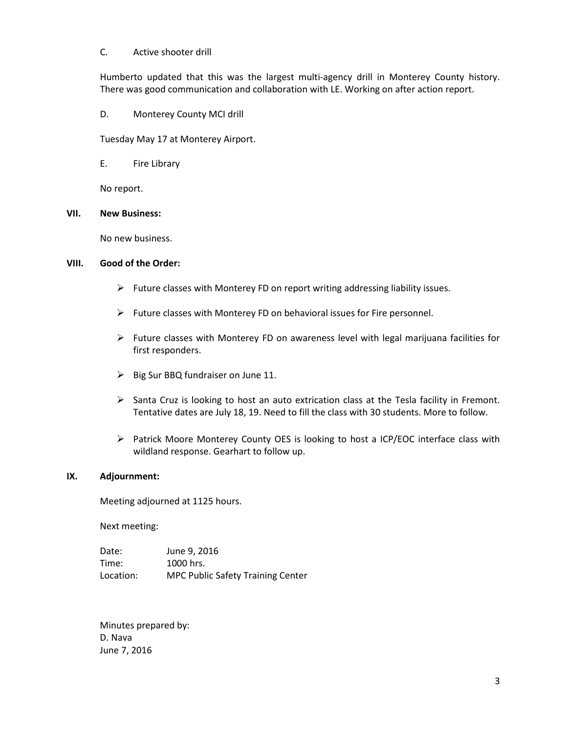#### C. Active shooter drill

Humberto updated that this was the largest multi-agency drill in Monterey County history. There was good communication and collaboration with LE. Working on after action report.

D. Monterey County MCI drill

Tuesday May 17 at Monterey Airport.

E. Fire Library

No report.

#### **VII. New Business:**

No new business.

### **VIII. Good of the Order:**

- $\triangleright$  Future classes with Monterey FD on report writing addressing liability issues.
- $\triangleright$  Future classes with Monterey FD on behavioral issues for Fire personnel.
- $\triangleright$  Future classes with Monterey FD on awareness level with legal marijuana facilities for first responders.
- $\triangleright$  Big Sur BBQ fundraiser on June 11.
- $\triangleright$  Santa Cruz is looking to host an auto extrication class at the Tesla facility in Fremont. Tentative dates are July 18, 19. Need to fill the class with 30 students. More to follow.
- Patrick Moore Monterey County OES is looking to host a ICP/EOC interface class with wildland response. Gearhart to follow up.

#### **IX. Adjournment:**

Meeting adjourned at 1125 hours.

Next meeting:

| Date:     | June 9, 2016                             |
|-----------|------------------------------------------|
| Time:     | 1000 hrs.                                |
| Location: | <b>MPC Public Safety Training Center</b> |

Minutes prepared by: D. Nava June 7, 2016